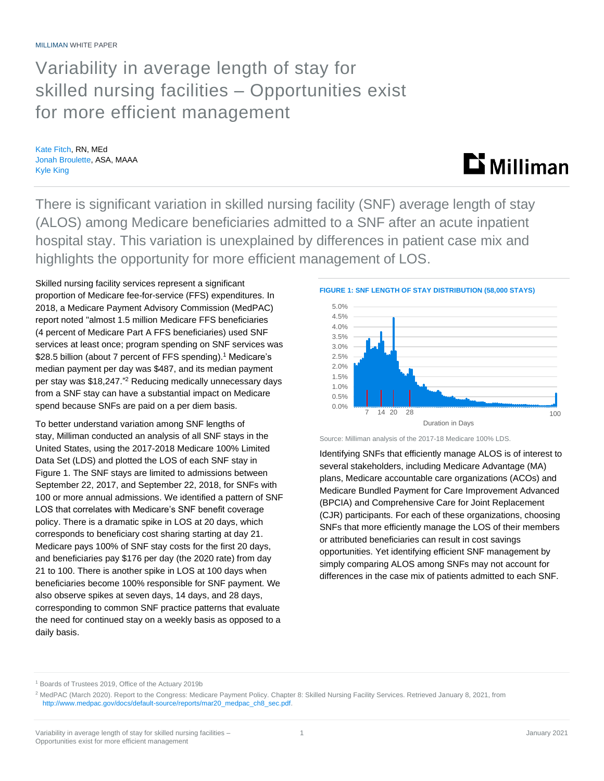## Variability in average length of stay for skilled nursing facilities – Opportunities exist for more efficient management

Kate Fitch, RN, MEd Jonah Broulette, ASA, MAAA Kyle King

# **Li** Milliman

There is significant variation in skilled nursing facility (SNF) average length of stay (ALOS) among Medicare beneficiaries admitted to a SNF after an acute inpatient hospital stay. This variation is unexplained by differences in patient case mix and highlights the opportunity for more efficient management of LOS.

Skilled nursing facility services represent a significant proportion of Medicare fee-for-service (FFS) expenditures. In 2018, a Medicare Payment Advisory Commission (MedPAC) report noted "almost 1.5 million Medicare FFS beneficiaries (4 percent of Medicare Part A FFS beneficiaries) used SNF services at least once; program spending on SNF services was \$28.5 billion (about 7 percent of FFS spending).<sup>1</sup> Medicare's median payment per day was \$487, and its median payment per stay was \$18,247." <sup>2</sup> Reducing medically unnecessary days from a SNF stay can have a substantial impact on Medicare spend because SNFs are paid on a per diem basis.

To better understand variation among SNF lengths of stay, Milliman conducted an analysis of all SNF stays in the United States, using the 2017-2018 Medicare 100% Limited Data Set (LDS) and plotted the LOS of each SNF stay in Figure 1. The SNF stays are limited to admissions between September 22, 2017, and September 22, 2018, for SNFs with 100 or more annual admissions. We identified a pattern of SNF LOS that correlates with Medicare's SNF benefit coverage policy. There is a dramatic spike in LOS at 20 days, which corresponds to beneficiary cost sharing starting at day 21. Medicare pays 100% of SNF stay costs for the first 20 days, and beneficiaries pay \$176 per day (the 2020 rate) from day 21 to 100. There is another spike in LOS at 100 days when beneficiaries become 100% responsible for SNF payment. We also observe spikes at seven days, 14 days, and 28 days, corresponding to common SNF practice patterns that evaluate the need for continued stay on a weekly basis as opposed to a daily basis.



Source: Milliman analysis of the 2017-18 Medicare 100% LDS.

Identifying SNFs that efficiently manage ALOS is of interest to several stakeholders, including Medicare Advantage (MA) plans, Medicare accountable care organizations (ACOs) and Medicare Bundled Payment for Care Improvement Advanced (BPCIA) and Comprehensive Care for Joint Replacement (CJR) participants. For each of these organizations, choosing SNFs that more efficiently manage the LOS of their members or attributed beneficiaries can result in cost savings opportunities. Yet identifying efficient SNF management by simply comparing ALOS among SNFs may not account for differences in the case mix of patients admitted to each SNF.

<sup>1</sup> Boards of Trustees 2019, Office of the Actuary 2019b

<sup>&</sup>lt;sup>2</sup> MedPAC (March 2020). Report to the Congress: Medicare Payment Policy. Chapter 8: Skilled Nursing Facility Services. Retrieved January 8, 2021, from [http://www.medpac.gov/docs/default-source/reports/mar20\\_medpac\\_ch8\\_sec.pdf.](http://www.medpac.gov/docs/default-source/reports/mar20_medpac_ch8_sec.pdf)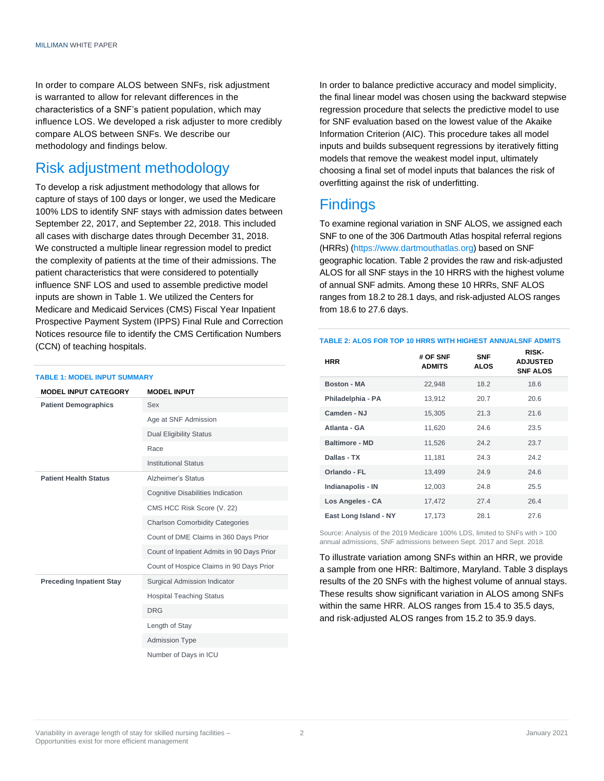In order to compare ALOS between SNFs, risk adjustment is warranted to allow for relevant differences in the characteristics of a SNF's patient population, which may influence LOS. We developed a risk adjuster to more credibly compare ALOS between SNFs. We describe our methodology and findings below.

## Risk adjustment methodology

To develop a risk adjustment methodology that allows for capture of stays of 100 days or longer, we used the Medicare 100% LDS to identify SNF stays with admission dates between September 22, 2017, and September 22, 2018. This included all cases with discharge dates through December 31, 2018. We constructed a multiple linear regression model to predict the complexity of patients at the time of their admissions. The patient characteristics that were considered to potentially influence SNF LOS and used to assemble predictive model inputs are shown in Table 1. We utilized the Centers for Medicare and Medicaid Services (CMS) Fiscal Year Inpatient Prospective Payment System (IPPS) Final Rule and Correction Notices resource file to identify the CMS Certification Numbers (CCN) of teaching hospitals.

#### **TABLE 1: MODEL INPUT SUMMARY**

| <b>MODEL INPUT CATEGORY</b>     | <b>MODEL INPUT</b>                         |
|---------------------------------|--------------------------------------------|
| <b>Patient Demographics</b>     | Sex                                        |
|                                 | Age at SNF Admission                       |
|                                 | <b>Dual Eligibility Status</b>             |
|                                 | Race                                       |
|                                 | <b>Institutional Status</b>                |
| <b>Patient Health Status</b>    | Alzheimer's Status                         |
|                                 | Cognitive Disabilities Indication          |
|                                 | CMS HCC Risk Score (V. 22)                 |
|                                 | <b>Charlson Comorbidity Categories</b>     |
|                                 | Count of DME Claims in 360 Days Prior      |
|                                 | Count of Inpatient Admits in 90 Days Prior |
|                                 | Count of Hospice Claims in 90 Days Prior   |
| <b>Preceding Inpatient Stay</b> | Surgical Admission Indicator               |
|                                 | <b>Hospital Teaching Status</b>            |
|                                 | <b>DRG</b>                                 |
|                                 | Length of Stay                             |
|                                 | <b>Admission Type</b>                      |
|                                 | Number of Days in ICU                      |

In order to balance predictive accuracy and model simplicity, the final linear model was chosen using the backward stepwise regression procedure that selects the predictive model to use for SNF evaluation based on the lowest value of the Akaike Information Criterion (AIC). This procedure takes all model inputs and builds subsequent regressions by iteratively fitting models that remove the weakest model input, ultimately choosing a final set of model inputs that balances the risk of overfitting against the risk of underfitting.

### **Findings**

To examine regional variation in SNF ALOS, we assigned each SNF to one of the 306 Dartmouth Atlas hospital referral regions (HRRs) [\(https://www.dartmouthatlas.org\)](https://www.dartmouthatlas.org/) based on SNF geographic location. Table 2 provides the raw and risk-adjusted ALOS for all SNF stays in the 10 HRRS with the highest volume of annual SNF admits. Among these 10 HRRs, SNF ALOS ranges from 18.2 to 28.1 days, and risk-adjusted ALOS ranges from 18.6 to 27.6 days.

#### **TABLE 2: ALOS FOR TOP 10 HRRS WITH HIGHEST ANNUALSNF ADMITS**

| <b>HRR</b>            | # OF SNF<br><b>ADMITS</b> | <b>SNF</b><br>ALOS | <b>RISK-</b><br><b>ADJUSTED</b><br><b>SNF ALOS</b> |
|-----------------------|---------------------------|--------------------|----------------------------------------------------|
| <b>Boston - MA</b>    | 22,948                    | 18.2               | 18.6                                               |
| Philadelphia - PA     | 13,912                    | 20.7               | 20.6                                               |
| Camden - NJ           | 15,305                    | 21.3               | 21.6                                               |
| Atlanta - GA          | 11,620                    | 24.6               | 23.5                                               |
| <b>Baltimore - MD</b> | 11,526                    | 24.2               | 23.7                                               |
| Dallas - TX           | 11,181                    | 24.3               | 24.2                                               |
| Orlando - FL          | 13,499                    | 24.9               | 24.6                                               |
| Indianapolis - IN     | 12,003                    | 24.8               | 25.5                                               |
| Los Angeles - CA      | 17,472                    | 27.4               | 26.4                                               |
| East Long Island - NY | 17,173                    | 28.1               | 27.6                                               |

Source: Analysis of the 2019 Medicare 100% LDS, limited to SNFs with > 100 annual admissions, SNF admissions between Sept. 2017 and Sept. 2018.

To illustrate variation among SNFs within an HRR, we provide a sample from one HRR: Baltimore, Maryland. Table 3 displays results of the 20 SNFs with the highest volume of annual stays. These results show significant variation in ALOS among SNFs within the same HRR. ALOS ranges from 15.4 to 35.5 days, and risk-adjusted ALOS ranges from 15.2 to 35.9 days.